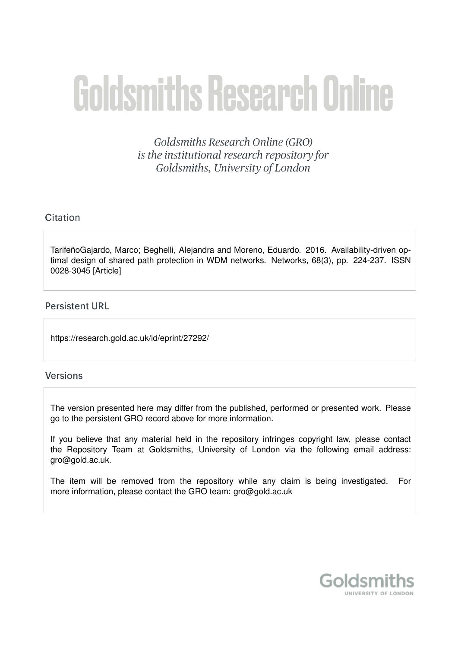# **Goldsmiths Research Online**

Goldsmiths Research Online (GRO) is the institutional research repository for Goldsmiths, University of London

# Citation

TarifeñoGajardo, Marco; Beghelli, Alejandra and Moreno, Eduardo, 2016. Availability-driven optimal design of shared path protection in WDM networks. Networks, 68(3), pp. 224-237. ISSN 0028-3045 [Article]

# **Persistent URL**

https://research.gold.ac.uk/id/eprint/27292/

# **Versions**

The version presented here may differ from the published, performed or presented work. Please go to the persistent GRO record above for more information.

If you believe that any material held in the repository infringes copyright law, please contact the Repository Team at Goldsmiths, University of London via the following email address: gro@gold.ac.uk.

The item will be removed from the repository while any claim is being investigated. For more information, please contact the GRO team: gro@gold.ac.uk

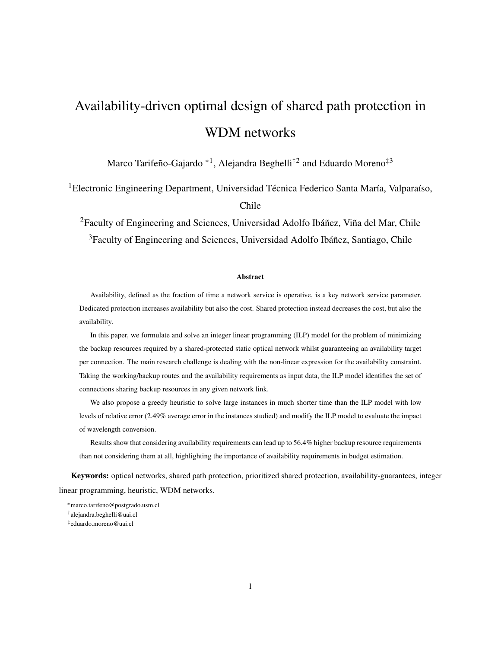# Availability-driven optimal design of shared path protection in WDM networks

Marco Tarifeño-Gajardo  $^{\ast1}$ , Alejandra Beghelli $^{\dagger2}$  and Eduardo Moreno $^{\ddagger3}$ 

<sup>1</sup> Electronic Engineering Department, Universidad Técnica Federico Santa María, Valparaíso, Chile

<sup>2</sup>Faculty of Engineering and Sciences, Universidad Adolfo Ibáñez, Viña del Mar, Chile <sup>3</sup>Faculty of Engineering and Sciences, Universidad Adolfo Ibáñez, Santiago, Chile

#### Abstract

Availability, defined as the fraction of time a network service is operative, is a key network service parameter. Dedicated protection increases availability but also the cost. Shared protection instead decreases the cost, but also the availability.

In this paper, we formulate and solve an integer linear programming (ILP) model for the problem of minimizing the backup resources required by a shared-protected static optical network whilst guaranteeing an availability target per connection. The main research challenge is dealing with the non-linear expression for the availability constraint. Taking the working/backup routes and the availability requirements as input data, the ILP model identifies the set of connections sharing backup resources in any given network link.

We also propose a greedy heuristic to solve large instances in much shorter time than the ILP model with low levels of relative error (2.49% average error in the instances studied) and modify the ILP model to evaluate the impact of wavelength conversion.

Results show that considering availability requirements can lead up to 56.4% higher backup resource requirements than not considering them at all, highlighting the importance of availability requirements in budget estimation.

Keywords: optical networks, shared path protection, prioritized shared protection, availability-guarantees, integer linear programming, heuristic, WDM networks.

<sup>∗</sup>marco.tarifeno@postgrado.usm.cl

<sup>†</sup> alejandra.beghelli@uai.cl

<sup>‡</sup> eduardo.moreno@uai.cl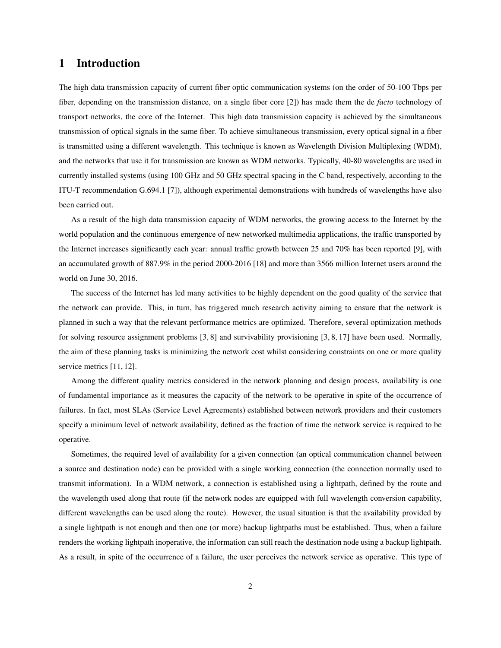## 1 Introduction

The high data transmission capacity of current fiber optic communication systems (on the order of 50-100 Tbps per fiber, depending on the transmission distance, on a single fiber core [2]) has made them the de *facto* technology of transport networks, the core of the Internet. This high data transmission capacity is achieved by the simultaneous transmission of optical signals in the same fiber. To achieve simultaneous transmission, every optical signal in a fiber is transmitted using a different wavelength. This technique is known as Wavelength Division Multiplexing (WDM), and the networks that use it for transmission are known as WDM networks. Typically, 40-80 wavelengths are used in currently installed systems (using 100 GHz and 50 GHz spectral spacing in the C band, respectively, according to the ITU-T recommendation G.694.1 [7]), although experimental demonstrations with hundreds of wavelengths have also been carried out.

As a result of the high data transmission capacity of WDM networks, the growing access to the Internet by the world population and the continuous emergence of new networked multimedia applications, the traffic transported by the Internet increases significantly each year: annual traffic growth between 25 and 70% has been reported [9], with an accumulated growth of 887.9% in the period 2000-2016 [18] and more than 3566 million Internet users around the world on June 30, 2016.

The success of the Internet has led many activities to be highly dependent on the good quality of the service that the network can provide. This, in turn, has triggered much research activity aiming to ensure that the network is planned in such a way that the relevant performance metrics are optimized. Therefore, several optimization methods for solving resource assignment problems [3, 8] and survivability provisioning [3, 8, 17] have been used. Normally, the aim of these planning tasks is minimizing the network cost whilst considering constraints on one or more quality service metrics [11, 12].

Among the different quality metrics considered in the network planning and design process, availability is one of fundamental importance as it measures the capacity of the network to be operative in spite of the occurrence of failures. In fact, most SLAs (Service Level Agreements) established between network providers and their customers specify a minimum level of network availability, defined as the fraction of time the network service is required to be operative.

Sometimes, the required level of availability for a given connection (an optical communication channel between a source and destination node) can be provided with a single working connection (the connection normally used to transmit information). In a WDM network, a connection is established using a lightpath, defined by the route and the wavelength used along that route (if the network nodes are equipped with full wavelength conversion capability, different wavelengths can be used along the route). However, the usual situation is that the availability provided by a single lightpath is not enough and then one (or more) backup lightpaths must be established. Thus, when a failure renders the working lightpath inoperative, the information can still reach the destination node using a backup lightpath. As a result, in spite of the occurrence of a failure, the user perceives the network service as operative. This type of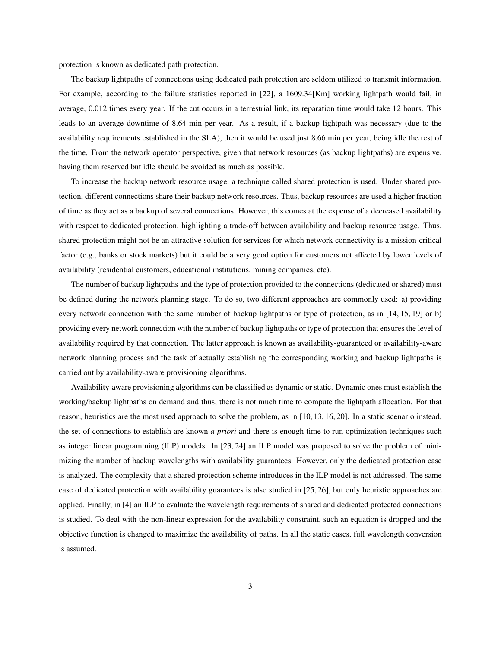protection is known as dedicated path protection.

The backup lightpaths of connections using dedicated path protection are seldom utilized to transmit information. For example, according to the failure statistics reported in [22], a 1609.34[Km] working lightpath would fail, in average, 0.012 times every year. If the cut occurs in a terrestrial link, its reparation time would take 12 hours. This leads to an average downtime of 8.64 min per year. As a result, if a backup lightpath was necessary (due to the availability requirements established in the SLA), then it would be used just 8.66 min per year, being idle the rest of the time. From the network operator perspective, given that network resources (as backup lightpaths) are expensive, having them reserved but idle should be avoided as much as possible.

To increase the backup network resource usage, a technique called shared protection is used. Under shared protection, different connections share their backup network resources. Thus, backup resources are used a higher fraction of time as they act as a backup of several connections. However, this comes at the expense of a decreased availability with respect to dedicated protection, highlighting a trade-off between availability and backup resource usage. Thus, shared protection might not be an attractive solution for services for which network connectivity is a mission-critical factor (e.g., banks or stock markets) but it could be a very good option for customers not affected by lower levels of availability (residential customers, educational institutions, mining companies, etc).

The number of backup lightpaths and the type of protection provided to the connections (dedicated or shared) must be defined during the network planning stage. To do so, two different approaches are commonly used: a) providing every network connection with the same number of backup lightpaths or type of protection, as in [14, 15, 19] or b) providing every network connection with the number of backup lightpaths or type of protection that ensures the level of availability required by that connection. The latter approach is known as availability-guaranteed or availability-aware network planning process and the task of actually establishing the corresponding working and backup lightpaths is carried out by availability-aware provisioning algorithms.

Availability-aware provisioning algorithms can be classified as dynamic or static. Dynamic ones must establish the working/backup lightpaths on demand and thus, there is not much time to compute the lightpath allocation. For that reason, heuristics are the most used approach to solve the problem, as in [10, 13, 16, 20]. In a static scenario instead, the set of connections to establish are known *a priori* and there is enough time to run optimization techniques such as integer linear programming (ILP) models. In [23, 24] an ILP model was proposed to solve the problem of minimizing the number of backup wavelengths with availability guarantees. However, only the dedicated protection case is analyzed. The complexity that a shared protection scheme introduces in the ILP model is not addressed. The same case of dedicated protection with availability guarantees is also studied in [25, 26], but only heuristic approaches are applied. Finally, in [4] an ILP to evaluate the wavelength requirements of shared and dedicated protected connections is studied. To deal with the non-linear expression for the availability constraint, such an equation is dropped and the objective function is changed to maximize the availability of paths. In all the static cases, full wavelength conversion is assumed.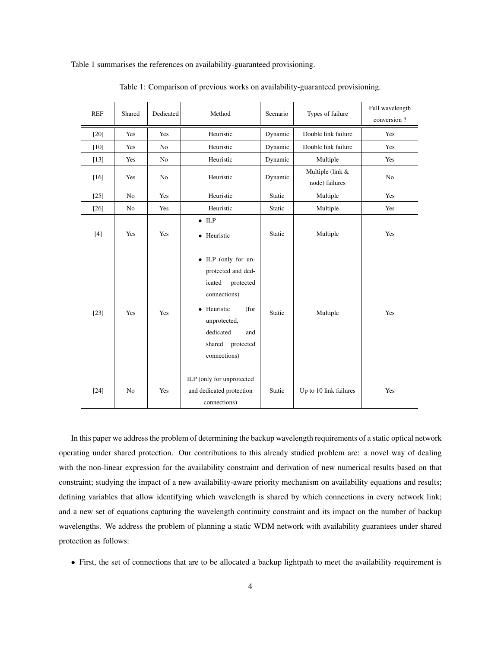Table 1 summarises the references on availability-guaranteed provisioning.

| <b>REF</b> | Shared         | Dedicated      | Method<br>Scenario                                                                                                                                                              |                                | Types of failure                   | Full wavelength<br>conversion? |
|------------|----------------|----------------|---------------------------------------------------------------------------------------------------------------------------------------------------------------------------------|--------------------------------|------------------------------------|--------------------------------|
| $[20]$     | Yes            | Yes            | Heuristic                                                                                                                                                                       | Dynamic<br>Double link failure |                                    | Yes                            |
| $[10]$     | Yes            | N <sub>0</sub> | Heuristic                                                                                                                                                                       | Dynamic                        | Double link failure                | Yes                            |
| $[13]$     | Yes            | No             | Heuristic                                                                                                                                                                       | Dynamic                        | Multiple                           | Yes                            |
| $[16]$     | Yes            | No             | Heuristic                                                                                                                                                                       | Dynamic                        | Multiple (link &<br>node) failures | $\rm No$                       |
| $[25]$     | N <sub>o</sub> | Yes            | Heuristic                                                                                                                                                                       | Static                         | Multiple                           | Yes                            |
| $[26]$     | No             | Yes            | Heuristic                                                                                                                                                                       | Static                         | Multiple                           | Yes                            |
| $[4]$      | Yes            | Yes            | $\bullet$ ILP<br>• Heuristic                                                                                                                                                    | Static                         | Multiple                           | Yes                            |
| $[23]$     | Yes            | Yes            | • ILP (only for un-<br>protected and ded-<br>icated<br>protected<br>connections)<br>• Heuristic<br>(for<br>unprotected,<br>dedicated<br>and<br>shared protected<br>connections) | Static                         | Multiple                           | Yes                            |
| $[24]$     | N <sub>0</sub> | Yes            | ILP (only for unprotected<br>and dedicated protection<br>connections)                                                                                                           | Static                         | Up to 10 link failures             | Yes                            |

Table 1: Comparison of previous works on availability-guaranteed provisioning.

In this paper we address the problem of determining the backup wavelength requirements of a static optical network operating under shared protection. Our contributions to this already studied problem are: a novel way of dealing with the non-linear expression for the availability constraint and derivation of new numerical results based on that constraint; studying the impact of a new availability-aware priority mechanism on availability equations and results; defining variables that allow identifying which wavelength is shared by which connections in every network link; and a new set of equations capturing the wavelength continuity constraint and its impact on the number of backup wavelengths. We address the problem of planning a static WDM network with availability guarantees under shared protection as follows:

• First, the set of connections that are to be allocated a backup lightpath to meet the availability requirement is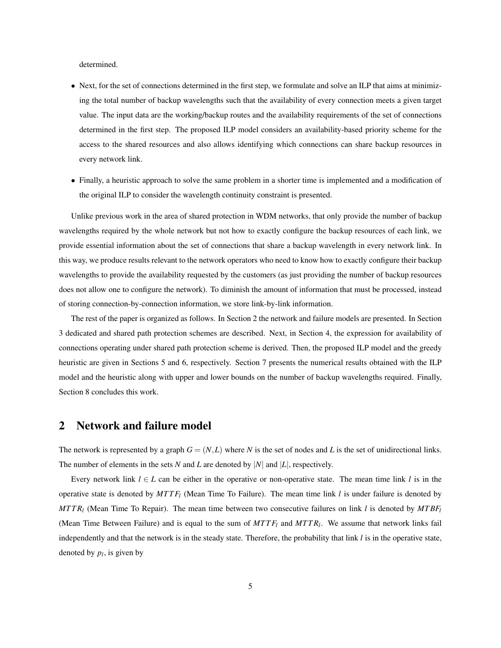determined.

- Next, for the set of connections determined in the first step, we formulate and solve an ILP that aims at minimizing the total number of backup wavelengths such that the availability of every connection meets a given target value. The input data are the working/backup routes and the availability requirements of the set of connections determined in the first step. The proposed ILP model considers an availability-based priority scheme for the access to the shared resources and also allows identifying which connections can share backup resources in every network link.
- Finally, a heuristic approach to solve the same problem in a shorter time is implemented and a modification of the original ILP to consider the wavelength continuity constraint is presented.

Unlike previous work in the area of shared protection in WDM networks, that only provide the number of backup wavelengths required by the whole network but not how to exactly configure the backup resources of each link, we provide essential information about the set of connections that share a backup wavelength in every network link. In this way, we produce results relevant to the network operators who need to know how to exactly configure their backup wavelengths to provide the availability requested by the customers (as just providing the number of backup resources does not allow one to configure the network). To diminish the amount of information that must be processed, instead of storing connection-by-connection information, we store link-by-link information.

The rest of the paper is organized as follows. In Section 2 the network and failure models are presented. In Section 3 dedicated and shared path protection schemes are described. Next, in Section 4, the expression for availability of connections operating under shared path protection scheme is derived. Then, the proposed ILP model and the greedy heuristic are given in Sections 5 and 6, respectively. Section 7 presents the numerical results obtained with the ILP model and the heuristic along with upper and lower bounds on the number of backup wavelengths required. Finally, Section 8 concludes this work.

#### 2 Network and failure model

The network is represented by a graph  $G = (N, L)$  where N is the set of nodes and L is the set of unidirectional links. The number of elements in the sets *N* and *L* are denoted by  $|N|$  and  $|L|$ , respectively.

Every network link  $l \in L$  can be either in the operative or non-operative state. The mean time link  $l$  is in the operative state is denoted by *MT T F<sup>l</sup>* (Mean Time To Failure). The mean time link *l* is under failure is denoted by *MT T R<sup>l</sup>* (Mean Time To Repair). The mean time between two consecutive failures on link *l* is denoted by *MT BF<sup>l</sup>* (Mean Time Between Failure) and is equal to the sum of *MT T F<sup>l</sup>* and *MT T R<sup>l</sup>* . We assume that network links fail independently and that the network is in the steady state. Therefore, the probability that link *l* is in the operative state, denoted by *p<sup>l</sup>* , is given by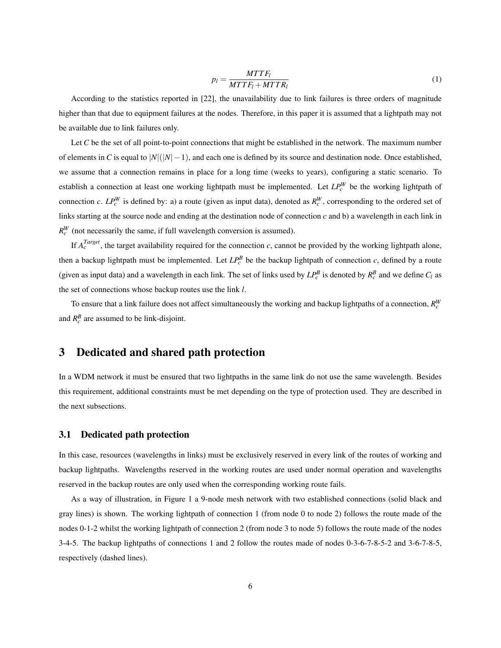$$
p_l = \frac{MTTF_l}{MTTF_l + MTTR_l} \tag{1}
$$

According to the statistics reported in [22], the unavailability due to link failures is three orders of magnitude higher than that due to equipment failures at the nodes. Therefore, in this paper it is assumed that a lightpath may not be available due to link failures only.

Let *C* be the set of all point-to-point connections that might be established in the network. The maximum number of elements in *C* is equal to  $|N|(|N|-1)$ , and each one is defined by its source and destination node. Once established, we assume that a connection remains in place for a long time (weeks to years), configuring a static scenario. To establish a connection at least one working lightpath must be implemented. Let  $LP_c^W$  be the working lightpath of connection *c*.  $LP_c^W$  is defined by: a) a route (given as input data), denoted as  $R_c^W$ , corresponding to the ordered set of links starting at the source node and ending at the destination node of connection *c* and b) a wavelength in each link in  $R_c^W$  (not necessarily the same, if full wavelength conversion is assumed).

If  $A_c^{Target}$ , the target availability required for the connection *c*, cannot be provided by the working lightpath alone, then a backup lightpath must be implemented. Let  $LP_c^B$  be the backup lightpath of connection *c*, defined by a route (given as input data) and a wavelength in each link. The set of links used by  $LP_c^B$  is denoted by  $R_c^B$  and we define  $C_l$  as the set of connections whose backup routes use the link *l*.

To ensure that a link failure does not affect simultaneously the working and backup lightpaths of a connection,  $R_c^W$ and  $R_c^B$  are assumed to be link-disjoint.

## 3 Dedicated and shared path protection

In a WDM network it must be ensured that two lightpaths in the same link do not use the same wavelength. Besides this requirement, additional constraints must be met depending on the type of protection used. They are described in the next subsections.

#### 3.1 Dedicated path protection

In this case, resources (wavelengths in links) must be exclusively reserved in every link of the routes of working and backup lightpaths. Wavelengths reserved in the working routes are used under normal operation and wavelengths reserved in the backup routes are only used when the corresponding working route fails.

As a way of illustration, in Figure 1 a 9-node mesh network with two established connections (solid black and gray lines) is shown. The working lightpath of connection 1 (from node 0 to node 2) follows the route made of the nodes 0-1-2 whilst the working lightpath of connection 2 (from node 3 to node 5) follows the route made of the nodes 3-4-5. The backup lightpaths of connections 1 and 2 follow the routes made of nodes 0-3-6-7-8-5-2 and 3-6-7-8-5, respectively (dashed lines).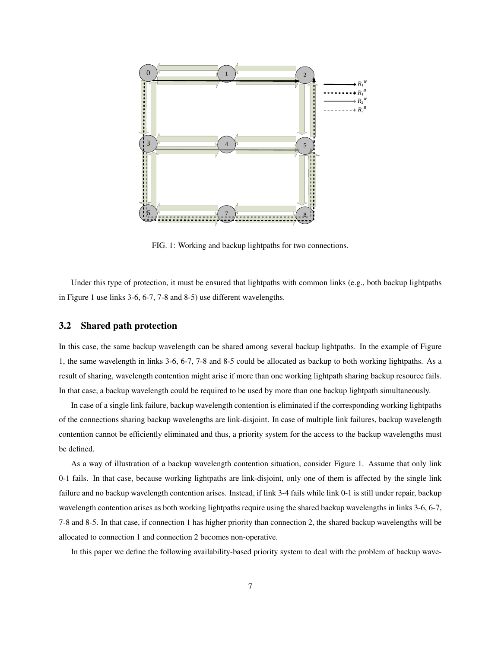

FIG. 1: Working and backup lightpaths for two connections.

Under this type of protection, it must be ensured that lightpaths with common links (e.g., both backup lightpaths in Figure 1 use links 3-6, 6-7, 7-8 and 8-5) use different wavelengths.

#### 3.2 Shared path protection

In this case, the same backup wavelength can be shared among several backup lightpaths. In the example of Figure 1, the same wavelength in links 3-6, 6-7, 7-8 and 8-5 could be allocated as backup to both working lightpaths. As a result of sharing, wavelength contention might arise if more than one working lightpath sharing backup resource fails. In that case, a backup wavelength could be required to be used by more than one backup lightpath simultaneously.

In case of a single link failure, backup wavelength contention is eliminated if the corresponding working lightpaths of the connections sharing backup wavelengths are link-disjoint. In case of multiple link failures, backup wavelength contention cannot be efficiently eliminated and thus, a priority system for the access to the backup wavelengths must be defined.

As a way of illustration of a backup wavelength contention situation, consider Figure 1. Assume that only link 0-1 fails. In that case, because working lightpaths are link-disjoint, only one of them is affected by the single link failure and no backup wavelength contention arises. Instead, if link 3-4 fails while link 0-1 is still under repair, backup wavelength contention arises as both working lightpaths require using the shared backup wavelengths in links 3-6, 6-7, 7-8 and 8-5. In that case, if connection 1 has higher priority than connection 2, the shared backup wavelengths will be allocated to connection 1 and connection 2 becomes non-operative.

In this paper we define the following availability-based priority system to deal with the problem of backup wave-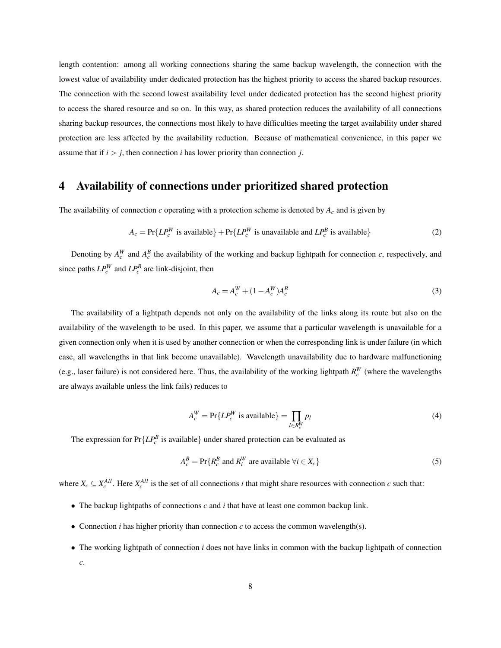length contention: among all working connections sharing the same backup wavelength, the connection with the lowest value of availability under dedicated protection has the highest priority to access the shared backup resources. The connection with the second lowest availability level under dedicated protection has the second highest priority to access the shared resource and so on. In this way, as shared protection reduces the availability of all connections sharing backup resources, the connections most likely to have difficulties meeting the target availability under shared protection are less affected by the availability reduction. Because of mathematical convenience, in this paper we assume that if  $i > j$ , then connection *i* has lower priority than connection *j*.

# 4 Availability of connections under prioritized shared protection

The availability of connection *c* operating with a protection scheme is denoted by  $A_c$  and is given by

$$
A_c = \Pr\{LP_c^W \text{ is available}\} + \Pr\{LP_c^W \text{ is unavailable and } LP_c^B \text{ is available}\}\
$$
 (2)

Denoting by  $A_c^W$  and  $A_c^B$  the availability of the working and backup lightpath for connection *c*, respectively, and since paths  $LP_c^W$  and  $LP_c^B$  are link-disjoint, then

$$
A_c = A_c^W + (1 - A_c^W) A_c^B
$$
 (3)

The availability of a lightpath depends not only on the availability of the links along its route but also on the availability of the wavelength to be used. In this paper, we assume that a particular wavelength is unavailable for a given connection only when it is used by another connection or when the corresponding link is under failure (in which case, all wavelengths in that link become unavailable). Wavelength unavailability due to hardware malfunctioning (e.g., laser failure) is not considered here. Thus, the availability of the working lightpath  $R_c^W$  (where the wavelengths are always available unless the link fails) reduces to

$$
A_c^W = \Pr\{LP_c^W \text{ is available}\} = \prod_{l \in R_c^W} p_l \tag{4}
$$

The expression for  $Pr{L_P^B}$  is available} under shared protection can be evaluated as

$$
A_c^B = \Pr\{R_c^B \text{ and } R_i^W \text{ are available } \forall i \in X_c\} \tag{5}
$$

where  $X_c \subseteq X_c^{All}$ . Here  $X_c^{All}$  is the set of all connections *i* that might share resources with connection *c* such that:

- The backup lightpaths of connections *c* and *i* that have at least one common backup link.
- Connection *i* has higher priority than connection *c* to access the common wavelength(s).
- The working lightpath of connection *i* does not have links in common with the backup lightpath of connection *c*.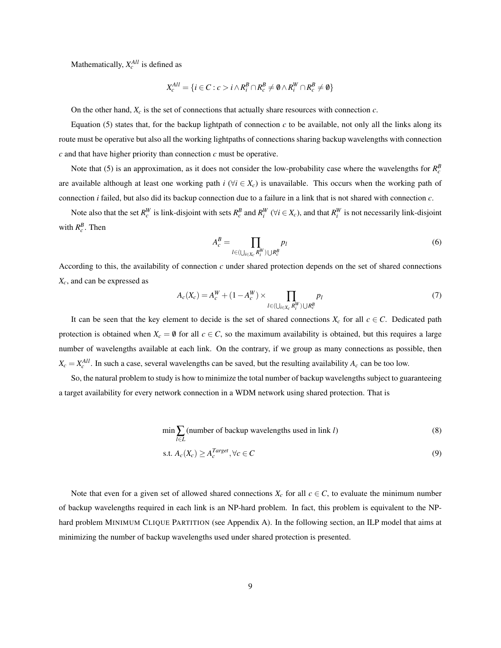Mathematically,  $X_c^{All}$  is defined as

$$
X_c^{All} = \{i \in C : c > i \wedge R_i^B \cap R_c^B \neq \emptyset \wedge R_i^W \cap R_c^B \neq \emptyset\}
$$

On the other hand, *X<sup>c</sup>* is the set of connections that actually share resources with connection *c*.

Equation (5) states that, for the backup lightpath of connection  $c$  to be available, not only all the links along its route must be operative but also all the working lightpaths of connections sharing backup wavelengths with connection *c* and that have higher priority than connection *c* must be operative.

Note that (5) is an approximation, as it does not consider the low-probability case where the wavelengths for  $R_c^B$ are available although at least one working path  $i$  ( $\forall i \in X_c$ ) is unavailable. This occurs when the working path of connection *i* failed, but also did its backup connection due to a failure in a link that is not shared with connection *c*.

Note also that the set  $R_c^W$  is link-disjoint with sets  $R_c^B$  and  $R_i^W$  ( $\forall i \in X_c$ ), and that  $R_i^W$  is not necessarily link-disjoint with  $R_c^B$ . Then

$$
A_c^B = \prod_{l \in (\bigcup_{i \in X_c} R_i^W) \cup R_c^B} p_l \tag{6}
$$

According to this, the availability of connection *c* under shared protection depends on the set of shared connections *Xc*, and can be expressed as

$$
A_c(X_c) = A_c^W + (1 - A_c^W) \times \prod_{l \in (\bigcup_{i \in X_c} R_i^W) \cup R_c^B} p_l
$$
\n(7)

It can be seen that the key element to decide is the set of shared connections  $X_c$  for all  $c \in C$ . Dedicated path protection is obtained when  $X_c = \emptyset$  for all  $c \in C$ , so the maximum availability is obtained, but this requires a large number of wavelengths available at each link. On the contrary, if we group as many connections as possible, then  $X_c = X_c^{\text{All}}$ . In such a case, several wavelengths can be saved, but the resulting availability  $A_c$  can be too low.

So, the natural problem to study is how to minimize the total number of backup wavelengths subject to guaranteeing a target availability for every network connection in a WDM network using shared protection. That is

$$
\min \sum_{l \in L} (\text{number of backup wavelengths used in link } l) \tag{8}
$$

$$
\text{s.t. } A_c(X_c) \ge A_c^{Target}, \forall c \in C
$$
\n<sup>(9)</sup>

Note that even for a given set of allowed shared connections  $X_c$  for all  $c \in C$ , to evaluate the minimum number of backup wavelengths required in each link is an NP-hard problem. In fact, this problem is equivalent to the NPhard problem MINIMUM CLIQUE PARTITION (see Appendix A). In the following section, an ILP model that aims at minimizing the number of backup wavelengths used under shared protection is presented.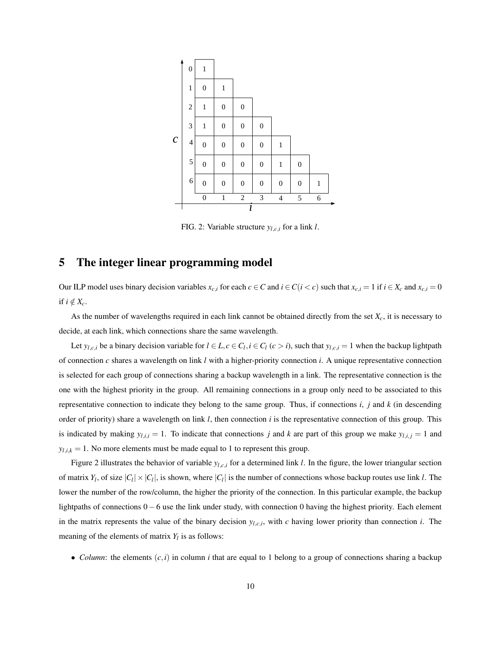| $\mathcal C$ | $\overline{\mathcal{L}}$<br>5<br>6 | $\boldsymbol{0}$<br>$\overline{0}$<br>$\boldsymbol{0}$ | $\overline{0}$<br>$\overline{0}$<br>$\overline{0}$ | $\boldsymbol{0}$<br>$\overline{0}$<br>$\boldsymbol{0}$ | $\boldsymbol{0}$<br>$\boldsymbol{0}$<br>$\boldsymbol{0}$ | $\,1\,$<br>$\mathbf{1}$<br>$\boldsymbol{0}$ | $\boldsymbol{0}$<br>$\overline{0}$ | $\mathbf{1}$ |  |
|--------------|------------------------------------|--------------------------------------------------------|----------------------------------------------------|--------------------------------------------------------|----------------------------------------------------------|---------------------------------------------|------------------------------------|--------------|--|
|              |                                    |                                                        |                                                    |                                                        |                                                          |                                             |                                    |              |  |
|              |                                    |                                                        |                                                    |                                                        |                                                          |                                             |                                    |              |  |
|              |                                    |                                                        |                                                    |                                                        |                                                          |                                             |                                    |              |  |
|              | 3                                  | $\mathbf{1}$                                           | $\boldsymbol{0}$                                   | $\boldsymbol{0}$                                       | $\boldsymbol{0}$                                         |                                             |                                    |              |  |
|              | $\sqrt{2}$                         | $\mathbf{1}$                                           | $\boldsymbol{0}$                                   | $\boldsymbol{0}$                                       |                                                          |                                             |                                    |              |  |
|              | $\,1$                              | $\boldsymbol{0}$                                       | $\mathbf{1}$                                       |                                                        |                                                          |                                             |                                    |              |  |
|              | $\boldsymbol{0}$                   | $\mathbf{1}$                                           |                                                    |                                                        |                                                          |                                             |                                    |              |  |

FIG. 2: Variable structure *yl*,*c*,*<sup>i</sup>* for a link *l*.

# 5 The integer linear programming model

Our ILP model uses binary decision variables  $x_{c,i}$  for each  $c \in C$  and  $i \in C(i < c)$  such that  $x_{c,i} = 1$  if  $i \in X_c$  and  $x_{c,i} = 0$ if  $i \notin X_c$ .

As the number of wavelengths required in each link cannot be obtained directly from the set  $X_c$ , it is necessary to decide, at each link, which connections share the same wavelength.

Let  $y_{l,c,i}$  be a binary decision variable for  $l \in L$ ,  $c \in C_l$ ,  $i \in C_l$  ( $c > i$ ), such that  $y_{l,c,i} = 1$  when the backup lightpath of connection *c* shares a wavelength on link *l* with a higher-priority connection *i*. A unique representative connection is selected for each group of connections sharing a backup wavelength in a link. The representative connection is the one with the highest priority in the group. All remaining connections in a group only need to be associated to this representative connection to indicate they belong to the same group. Thus, if connections *i*, *j* and *k* (in descending order of priority) share a wavelength on link *l*, then connection *i* is the representative connection of this group. This is indicated by making  $y_{l,i,i} = 1$ . To indicate that connections *j* and *k* are part of this group we make  $y_{l,i,j} = 1$  and  $y_{l,i,k} = 1$ . No more elements must be made equal to 1 to represent this group.

Figure 2 illustrates the behavior of variable  $y_{l,c,i}$  for a determined link *l*. In the figure, the lower triangular section of matrix  $Y_l$ , of size  $|C_l| \times |C_l|$ , is shown, where  $|C_l|$  is the number of connections whose backup routes use link *l*. The lower the number of the row/column, the higher the priority of the connection. In this particular example, the backup lightpaths of connections 0−6 use the link under study, with connection 0 having the highest priority. Each element in the matrix represents the value of the binary decision  $y_{l,c,i}$ , with *c* having lower priority than connection *i*. The meaning of the elements of matrix  $Y_l$  is as follows:

• *Column*: the elements  $(c, i)$  in column *i* that are equal to 1 belong to a group of connections sharing a backup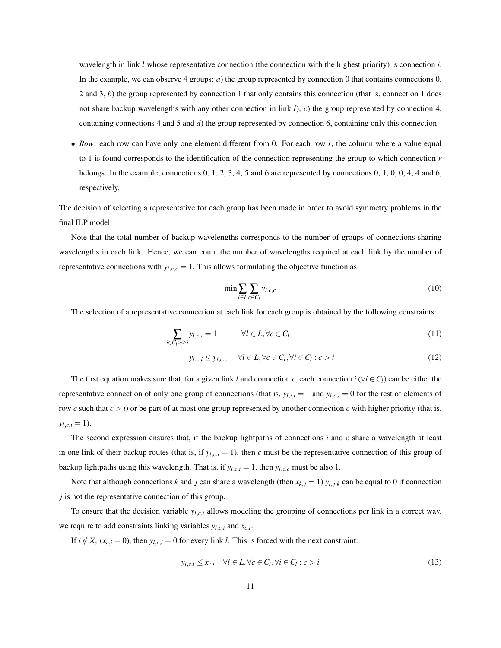wavelength in link *l* whose representative connection (the connection with the highest priority) is connection *i*. In the example, we can observe 4 groups: *a*) the group represented by connection 0 that contains connections 0, 2 and 3, *b*) the group represented by connection 1 that only contains this connection (that is, connection 1 does not share backup wavelengths with any other connection in link *l*), *c*) the group represented by connection 4, containing connections 4 and 5 and *d*) the group represented by connection 6, containing only this connection.

• *Row*: each row can have only one element different from 0. For each row *r*, the column where a value equal to 1 is found corresponds to the identification of the connection representing the group to which connection *r* belongs. In the example, connections 0, 1, 2, 3, 4, 5 and 6 are represented by connections 0, 1, 0, 0, 4, 4 and 6, respectively.

The decision of selecting a representative for each group has been made in order to avoid symmetry problems in the final ILP model.

Note that the total number of backup wavelengths corresponds to the number of groups of connections sharing wavelengths in each link. Hence, we can count the number of wavelengths required at each link by the number of representative connections with  $y_{l,c,c} = 1$ . This allows formulating the objective function as

$$
\min \sum_{l \in L} \sum_{c \in C_l} y_{l,c,c} \tag{10}
$$

The selection of a representative connection at each link for each group is obtained by the following constraints:

$$
\sum_{i \in C_l : c \ge i} y_{l,c,i} = 1 \qquad \forall l \in L, \forall c \in C_l \tag{11}
$$

$$
y_{l,c,i} \le y_{l,c,c} \quad \forall l \in L, \forall c \in C_l, \forall i \in C_l : c > i \tag{12}
$$

The first equation makes sure that, for a given link *l* and connection *c*, each connection  $i$  ( $\forall i \in C_1$ ) can be either the representative connection of only one group of connections (that is,  $y_{l,i,i} = 1$  and  $y_{l,c,i} = 0$  for the rest of elements of row *c* such that  $c > i$ ) or be part of at most one group represented by another connection *c* with higher priority (that is,  $y_{l,c,i} = 1$ .

The second expression ensures that, if the backup lightpaths of connections *i* and *c* share a wavelength at least in one link of their backup routes (that is, if  $y_{l,c,i} = 1$ ), then *c* must be the representative connection of this group of backup lightpaths using this wavelength. That is, if  $y_{l,c,i} = 1$ , then  $y_{l,c,c}$  must be also 1.

Note that although connections *k* and *j* can share a wavelength (then  $x_{k,j} = 1$ )  $y_{l,j,k}$  can be equal to 0 if connection *j* is not the representative connection of this group.

To ensure that the decision variable  $y_{l,c,i}$  allows modeling the grouping of connections per link in a correct way, we require to add constraints linking variables  $y_{l,c,i}$  and  $x_{c,i}$ .

If  $i \notin X_c$  ( $x_{c,i} = 0$ ), then  $y_{l,c,i} = 0$  for every link *l*. This is forced with the next constraint:

$$
y_{l,c,i} \le x_{c,i} \quad \forall l \in L, \forall c \in C_l, \forall i \in C_l : c > i
$$
\n
$$
(13)
$$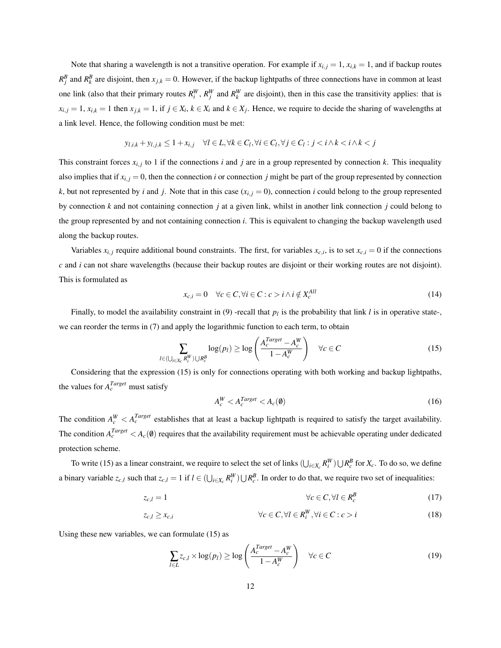Note that sharing a wavelength is not a transitive operation. For example if  $x_{i,j} = 1$ ,  $x_{i,k} = 1$ , and if backup routes  $R_j^B$  and  $R_k^B$  are disjoint, then  $x_{j,k} = 0$ . However, if the backup lightpaths of three connections have in common at least one link (also that their primary routes  $R_i^W$ ,  $R_j^W$  and  $R_k^W$  are disjoint), then in this case the transitivity applies: that is  $x_{i,j} = 1$ ,  $x_{i,k} = 1$  then  $x_{j,k} = 1$ , if  $j \in X_i$ ,  $k \in X_i$  and  $k \in X_j$ . Hence, we require to decide the sharing of wavelengths at a link level. Hence, the following condition must be met:

$$
y_{l,i,k} + y_{l,j,k} \leq 1 + x_{i,j} \quad \forall l \in L, \forall k \in C_l, \forall i \in C_l, \forall j \in C_l : j < i \land k < i \land k < j
$$

This constraint forces  $x_{i,j}$  to 1 if the connections *i* and *j* are in a group represented by connection *k*. This inequality also implies that if  $x_{i,j} = 0$ , then the connection *i* or connection *j* might be part of the group represented by connection *k*, but not represented by *i* and *j*. Note that in this case  $(x_{i,j} = 0)$ , connection *i* could belong to the group represented by connection *k* and not containing connection *j* at a given link, whilst in another link connection *j* could belong to the group represented by and not containing connection *i*. This is equivalent to changing the backup wavelength used along the backup routes.

Variables  $x_{i,j}$  require additional bound constraints. The first, for variables  $x_{c,i}$ , is to set  $x_{c,i} = 0$  if the connections *c* and *i* can not share wavelengths (because their backup routes are disjoint or their working routes are not disjoint). This is formulated as

$$
x_{c,i} = 0 \quad \forall c \in C, \forall i \in C : c > i \land i \notin X_c^{All}
$$
\n
$$
(14)
$$

Finally, to model the availability constraint in  $(9)$  -recall that  $p_l$  is the probability that link *l* is in operative state-, we can reorder the terms in (7) and apply the logarithmic function to each term, to obtain

$$
\sum_{l \in (\bigcup_{i \in X_C} R_i^W) \cup R_c^B} \log(p_l) \ge \log\left(\frac{A_c^{Target} - A_c^W}{1 - A_c^W}\right) \quad \forall c \in C
$$
\n(15)

Considering that the expression (15) is only for connections operating with both working and backup lightpaths, the values for  $A_c^{Target}$  must satisfy

$$
A_c^W < A_c^{Target} < A_c(\emptyset) \tag{16}
$$

The condition  $A_c^W < A_c^{Target}$  establishes that at least a backup lightpath is required to satisfy the target availability. The condition  $A_c^{Target} < A_c(\emptyset)$  requires that the availability requirement must be achievable operating under dedicated protection scheme.

To write (15) as a linear constraint, we require to select the set of links  $(\bigcup_{i\in X_c} R^W_i) \bigcup R^B_c$  for  $X_c$ . To do so, we define a binary variable  $z_{c,l}$  such that  $z_{c,l} = 1$  if  $l \in (\bigcup_{i \in X_c} R_i^W) \cup R_c^B$ . In order to do that, we require two set of inequalities:

$$
z_{c,l} = 1 \qquad \qquad \forall c \in C, \forall l \in R_c^B \tag{17}
$$

$$
z_{c,l} \ge x_{c,i} \qquad \qquad \forall c \in C, \forall l \in R_i^W, \forall i \in C : c > i \qquad (18)
$$

Using these new variables, we can formulate (15) as

$$
\sum_{l \in L} z_{c,l} \times \log(p_l) \ge \log \left( \frac{A_c^{Target} - A_c^W}{1 - A_c^W} \right) \quad \forall c \in C
$$
\n(19)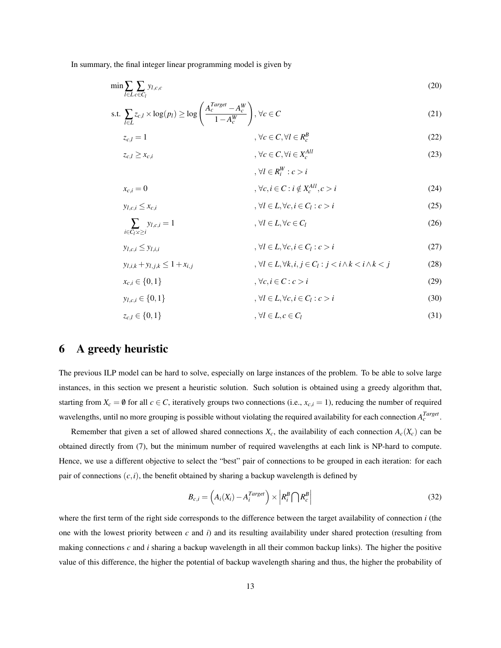In summary, the final integer linear programming model is given by

$$
\min \sum_{l \in L} \sum_{c \in C_l} y_{l,c,c} \tag{20}
$$

$$
\text{s.t. } \sum_{l \in L} z_{c,l} \times \log(p_l) \ge \log \left( \frac{A_c^{Target} - A_c^W}{1 - A_c^W} \right), \forall c \in C
$$
\n
$$
(21)
$$

$$
z_{c,l} = 1 \qquad \qquad , \forall c \in C, \forall l \in R_c^B
$$
\n
$$
z_{c,l} = x_{c,l} \qquad (22)
$$
\n
$$
\forall c \in C, \forall i \in X^{All}
$$
\n
$$
(23)
$$

$$
z_{c,l} \ge x_{c,i} \qquad \qquad , \forall c \in C, \forall i \in X_c^{All} \tag{23}
$$

$$
, \forall l \in R_i^W : c > i
$$
  

$$
x_{c,i} = 0 \qquad , \forall c, i \in C : i \notin X_c^{All}, c > i
$$
 (24)

$$
y_{l,c,i} \le x_{c,i} \qquad \qquad , \forall l \in L, \forall c, i \in C_l : c > i \tag{25}
$$

$$
\sum_{i \in C_l : c \ge i} y_{l,c,i} = 1 \qquad , \forall l \in L, \forall c \in C_l \qquad (26)
$$

$$
y_{l,c,i} \le y_{l,i,i} \qquad \qquad, \forall l \in L, \forall c, i \in C_l : c > i \tag{27}
$$

$$
y_{l,i,k} + y_{l,j,k} \leq 1 + x_{i,j} \qquad \qquad , \forall l \in L, \forall k, i, j \in C_l : j < i \wedge k < i \wedge k < j \tag{28}
$$

$$
x_{c,i} \in \{0,1\} \t\t, \forall c, i \in C : c > i \t\t(29)
$$

$$
,\forall l \in L, \forall c, i \in C_l : c > i \tag{30}
$$

$$
z_{c,l} \in \{0,1\} \qquad \qquad , \forall l \in L, c \in C_l \tag{31}
$$

# 6 A greedy heuristic

 $y_{l,c,i} \in \{0,1\}$ 

The previous ILP model can be hard to solve, especially on large instances of the problem. To be able to solve large instances, in this section we present a heuristic solution. Such solution is obtained using a greedy algorithm that, starting from  $X_c = \emptyset$  for all  $c \in C$ , iteratively groups two connections (i.e.,  $x_{c,i} = 1$ ), reducing the number of required wavelengths, until no more grouping is possible without violating the required availability for each connection  $A_c^{Target}$ .

Remember that given a set of allowed shared connections  $X_c$ , the availability of each connection  $A_c(X_c)$  can be obtained directly from (7), but the minimum number of required wavelengths at each link is NP-hard to compute. Hence, we use a different objective to select the "best" pair of connections to be grouped in each iteration: for each pair of connections  $(c, i)$ , the benefit obtained by sharing a backup wavelength is defined by

$$
B_{c,i} = \left(A_i(X_i) - A_i^{Target}\right) \times \left|R_i^B \bigcap R_c^B\right| \tag{32}
$$

where the first term of the right side corresponds to the difference between the target availability of connection *i* (the one with the lowest priority between  $c$  and  $i$ ) and its resulting availability under shared protection (resulting from making connections  $c$  and  $i$  sharing a backup wavelength in all their common backup links). The higher the positive value of this difference, the higher the potential of backup wavelength sharing and thus, the higher the probability of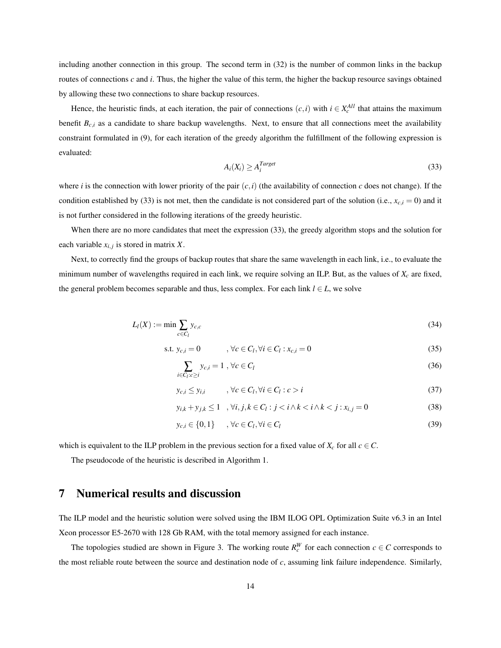including another connection in this group. The second term in (32) is the number of common links in the backup routes of connections *c* and *i*. Thus, the higher the value of this term, the higher the backup resource savings obtained by allowing these two connections to share backup resources.

Hence, the heuristic finds, at each iteration, the pair of connections  $(c, i)$  with  $i \in X_c^{All}$  that attains the maximum benefit  $B_{c,i}$  as a candidate to share backup wavelengths. Next, to ensure that all connections meet the availability constraint formulated in (9), for each iteration of the greedy algorithm the fulfillment of the following expression is evaluated:

$$
A_i(X_i) \ge A_i^{Target} \tag{33}
$$

where *i* is the connection with lower priority of the pair  $(c, i)$  (the availability of connection *c* does not change). If the condition established by (33) is not met, then the candidate is not considered part of the solution (i.e.,  $x_{c,i} = 0$ ) and it is not further considered in the following iterations of the greedy heuristic.

When there are no more candidates that meet the expression (33), the greedy algorithm stops and the solution for each variable  $x_{i,j}$  is stored in matrix X.

Next, to correctly find the groups of backup routes that share the same wavelength in each link, i.e., to evaluate the minimum number of wavelengths required in each link, we require solving an ILP. But, as the values of  $X_c$  are fixed, the general problem becomes separable and thus, less complex. For each link  $l \in L$ , we solve

$$
L_l(X) := \min \sum_{c \in C_l} y_{c,c} \tag{34}
$$

s.t. 
$$
y_{c,i} = 0
$$
  $\forall c \in C_l, \forall i \in C_l : x_{c,i} = 0$  (35)

$$
\sum_{i \in C_l : c \ge i} y_{c,i} = 1, \forall c \in C_l
$$
\n
$$
(36)
$$

$$
y_{c,i} \le y_{i,i} \qquad , \forall c \in C_l, \forall i \in C_l : c > i \tag{37}
$$

$$
y_{i,k} + y_{j,k} \le 1 \quad , \forall i, j, k \in C_l : j < i \wedge k < i \wedge k < j : x_{i,j} = 0 \tag{38}
$$

$$
y_{c,i} \in \{0,1\} \qquad, \forall c \in C_l, \forall i \in C_l \tag{39}
$$

which is equivalent to the ILP problem in the previous section for a fixed value of  $X_c$  for all  $c \in C$ .

The pseudocode of the heuristic is described in Algorithm 1.

#### 7 Numerical results and discussion

The ILP model and the heuristic solution were solved using the IBM ILOG OPL Optimization Suite v6.3 in an Intel Xeon processor E5-2670 with 128 Gb RAM, with the total memory assigned for each instance.

The topologies studied are shown in Figure 3. The working route  $R_c^W$  for each connection  $c \in C$  corresponds to the most reliable route between the source and destination node of *c*, assuming link failure independence. Similarly,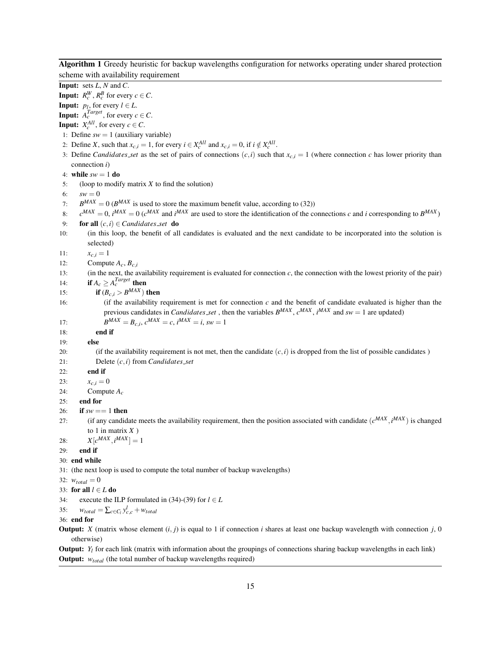Algorithm 1 Greedy heuristic for backup wavelengths configuration for networks operating under shared protection scheme with availability requirement

Input: sets *L*, *N* and *C*. **Input:**  $R_c^W$ ,  $R_c^B$  for every  $c \in C$ . **Input:**  $p_l$ , for every  $l \in L$ . **Input:**  $A_c^{Target}$ , for every  $c \in C$ . **Input:**  $X_c^{All}$ , for every  $c \in C$ . 1: Define  $sw = 1$  (auxiliary variable) 2: Define *X*, such that  $x_{c,i} = 1$ , for every  $i \in X_c^{All}$  and  $x_{c,i} = 0$ , if  $i \notin X_c^{All}$ . 3: Define *Candidates* set as the set of pairs of connections  $(c, i)$  such that  $x_{c,i} = 1$  (where connection *c* has lower priority than connection *i*) 4: while  $sw = 1$  do 5: (loop to modify matrix *X* to find the solution) 6:  $sw = 0$ 7: *B*  $^{MAX} = 0$  ( $B^{MAX}$  is used to store the maximum benefit value, according to (32)) 8: *c*  $MAX = 0$ ,  $i^{MAX} = 0$  ( $c^{MAX}$  and  $i^{MAX}$  are used to store the identification of the connections *c* and *i* corresponding to  $B^{MAX}$ ) 9: **for all**  $(c, i) \in$  *Candidates\_set* **do** 10: (in this loop, the benefit of all candidates is evaluated and the next candidate to be incorporated into the solution is selected) 11:  $x_{c,i} = 1$ 12: Compute  $A_c$ ,  $B_{c,i}$ 13: (in the next, the availability requirement is evaluated for connection *c*, the connection with the lowest priority of the pair) 14: **if**  $A_c \geq A_c^{Target}$  then 15: **if**  $(B_{c,i} > B^{MAX})$  then 16: (if the availability requirement is met for connection *c* and the benefit of candidate evaluated is higher than the previous candidates in *Candidates set*, then the variables  $B^{MAX}$ ,  $c^{MAX}$ ,  $i^{MAX}$  and  $sw = 1$  are updated) 17: *B*  $MAX = B_{c,i}, c^{MAX} = c, i^{MAX} = i, sw = 1$ 18: end if 19: else 20: (if the availability requirement is not met, then the candidate  $(c, i)$  is dropped from the list of possible candidates ) 21: Delete (*c*,*i*) from *Candidates set* 22: end if 23:  $x_{c,i} = 0$ 24: Compute *Ac* 25: end for 26: if *sw* == 1 then 27: (if any candidate meets the availability requirement, then the position associated with candidate  $(c^{MAX}, i^{MAX})$  is changed to 1 in matrix *X* ) 28:  $X[c^{MAX}, i^{MAX}] = 1$ 29: end if 30: end while 31: (the next loop is used to compute the total number of backup wavelengths) 32:  $w_{total} = 0$ 33: for all *l* ∈ *L* do 34: execute the ILP formulated in (34)-(39) for  $l \in L$ 35:  $w_{total} = \sum_{c \in C_l} y_{c,c}^l + w_{total}$ 36: end for **Output:** *X* (matrix whose element  $(i, j)$  is equal to 1 if connection *i* shares at least one backup wavelength with connection  $j$ , 0 otherwise)

**Output:**  $Y_l$  for each link (matrix with information about the groupings of connections sharing backup wavelengths in each link) Output: *wtotal* (the total number of backup wavelengths required)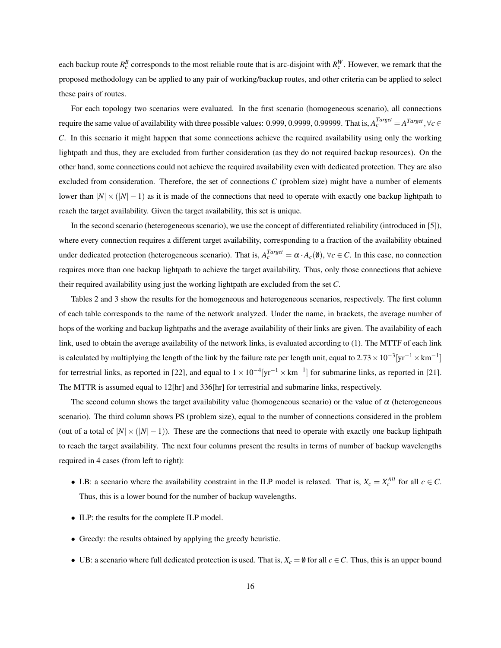each backup route  $R_c^B$  corresponds to the most reliable route that is arc-disjoint with  $R_c^W$ . However, we remark that the proposed methodology can be applied to any pair of working/backup routes, and other criteria can be applied to select these pairs of routes.

For each topology two scenarios were evaluated. In the first scenario (homogeneous scenario), all connections require the same value of availability with three possible values: 0.999, 0.9999, 0.99999. That is,  $A_c^{Target} = A^{Target}$ ,  $\forall c \in$ *C*. In this scenario it might happen that some connections achieve the required availability using only the working lightpath and thus, they are excluded from further consideration (as they do not required backup resources). On the other hand, some connections could not achieve the required availability even with dedicated protection. They are also excluded from consideration. Therefore, the set of connections *C* (problem size) might have a number of elements lower than  $|N| \times (|N| - 1)$  as it is made of the connections that need to operate with exactly one backup lightpath to reach the target availability. Given the target availability, this set is unique.

In the second scenario (heterogeneous scenario), we use the concept of differentiated reliability (introduced in [5]), where every connection requires a different target availability, corresponding to a fraction of the availability obtained under dedicated protection (heterogeneous scenario). That is,  $A_c^{Target} = \alpha \cdot A_c(\emptyset)$ ,  $\forall c \in C$ . In this case, no connection requires more than one backup lightpath to achieve the target availability. Thus, only those connections that achieve their required availability using just the working lightpath are excluded from the set *C*.

Tables 2 and 3 show the results for the homogeneous and heterogeneous scenarios, respectively. The first column of each table corresponds to the name of the network analyzed. Under the name, in brackets, the average number of hops of the working and backup lightpaths and the average availability of their links are given. The availability of each link, used to obtain the average availability of the network links, is evaluated according to (1). The MTTF of each link is calculated by multiplying the length of the link by the failure rate per length unit, equal to  $2.73 \times 10^{-3}$  [yr<sup>-1</sup>  $\times$  km<sup>-1</sup>] for terrestrial links, as reported in [22], and equal to  $1 \times 10^{-4}$  [yr<sup>-1</sup>  $\times$  km<sup>-1</sup>] for submarine links, as reported in [21]. The MTTR is assumed equal to 12[hr] and 336[hr] for terrestrial and submarine links, respectively.

The second column shows the target availability value (homogeneous scenario) or the value of  $\alpha$  (heterogeneous scenario). The third column shows PS (problem size), equal to the number of connections considered in the problem (out of a total of  $|N| \times (|N|-1)$ ). These are the connections that need to operate with exactly one backup lightpath to reach the target availability. The next four columns present the results in terms of number of backup wavelengths required in 4 cases (from left to right):

- LB: a scenario where the availability constraint in the ILP model is relaxed. That is,  $X_c = X_c^{All}$  for all  $c \in C$ . Thus, this is a lower bound for the number of backup wavelengths.
- ILP: the results for the complete ILP model.
- Greedy: the results obtained by applying the greedy heuristic.
- UB: a scenario where full dedicated protection is used. That is,  $X_c = \emptyset$  for all  $c \in C$ . Thus, this is an upper bound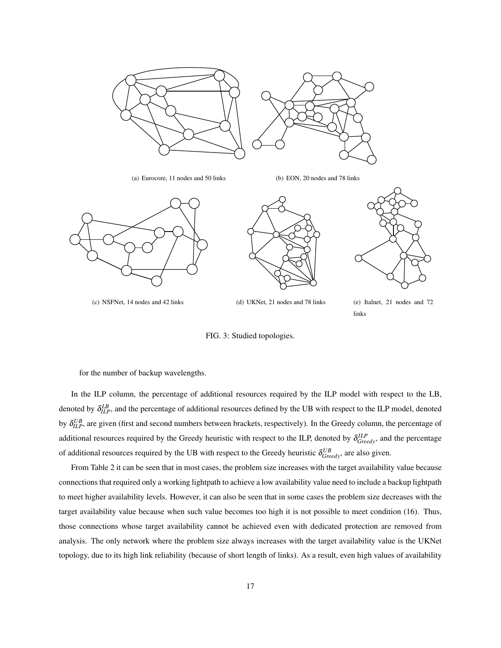

FIG. 3: Studied topologies.

for the number of backup wavelengths.

In the ILP column, the percentage of additional resources required by the ILP model with respect to the LB, denoted by  $\delta_{ILP}^{LB}$ , and the percentage of additional resources defined by the UB with respect to the ILP model, denoted by  $\delta_{ILP}^{UB}$ , are given (first and second numbers between brackets, respectively). In the Greedy column, the percentage of additional resources required by the Greedy heuristic with respect to the ILP, denoted by δ *ILP Greedy*, and the percentage of additional resources required by the UB with respect to the Greedy heuristic  $\delta^{UB}_{Greedy}$ , are also given.

From Table 2 it can be seen that in most cases, the problem size increases with the target availability value because connections that required only a working lightpath to achieve a low availability value need to include a backup lightpath to meet higher availability levels. However, it can also be seen that in some cases the problem size decreases with the target availability value because when such value becomes too high it is not possible to meet condition (16). Thus, those connections whose target availability cannot be achieved even with dedicated protection are removed from analysis. The only network where the problem size always increases with the target availability value is the UKNet topology, due to its high link reliability (because of short length of links). As a result, even high values of availability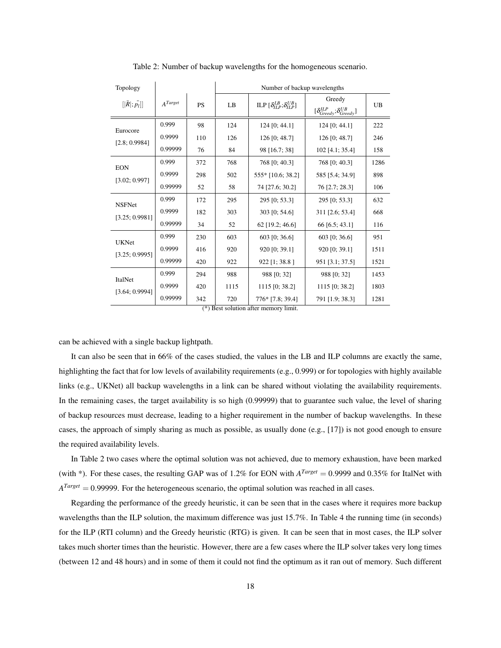| Topology                 | Number of backup wavelengths |           |      |                                                        |                                                           |      |
|--------------------------|------------------------------|-----------|------|--------------------------------------------------------|-----------------------------------------------------------|------|
| $[ \bar{R} ; \bar{p_l}]$ | $A^{Target}$                 | <b>PS</b> | LB   | ILP $\left[\delta_{ILP}^{LB};\delta_{ILP}^{UB}\right]$ | Greedy<br>$[\delta^{ILP}_{Greedy}; \delta^{UB}_{Greedy}]$ | UB   |
| Eurocore                 | 0.999                        | 98        | 124  | 124 [0:44.1]                                           | 124 [0; 44.1]                                             | 222  |
| [2.8; 0.9984]            | 0.9999                       | 110       | 126  | $126$ [0; 48.7]                                        | 126 [0; 48.7]                                             | 246  |
|                          | 0.99999                      | 76        | 84   | 98 [16.7; 38]                                          | 102 [4.1; 35.4]                                           | 158  |
| <b>EON</b>               | 0.999                        | 372       | 768  | 768 [0; 40.3]                                          | 768 [0; 40.3]                                             | 1286 |
| [3.02; 0.997]            | 0.9999                       | 298       | 502  | 555* [10.6; 38.2]                                      | 585 [5.4; 34.9]                                           | 898  |
|                          | 0.99999                      | 52        | 58   | 74 [27.6; 30.2]                                        | 76 [2.7; 28.3]                                            | 106  |
| <b>NSFNet</b>            | 0.999                        | 172       | 295  | 295 [0; 53.3]                                          | 295 [0; 53.3]                                             | 632  |
| [3.25; 0.9981]           | 0.9999                       | 182       | 303  | 303 [0; 54.6]                                          | 311 [2.6; 53.4]                                           | 668  |
|                          | 0.99999                      | 34        | 52   | 62 [19.2; 46.6]                                        | 66 [6.5; 43.1]                                            | 116  |
| <b>UKNet</b>             | 0.999                        | 230       | 603  | 603 [0; 36.6]                                          | 603 [0; 36.6]                                             | 951  |
| [3.25; 0.9995]           | 0.9999                       | 416       | 920  | 920 [0; 39.1]                                          | 920 [0; 39.1]                                             | 1511 |
|                          | 0.99999                      | 420       | 922  | 922 [1; 38.8]                                          | 951 [3.1; 37.5]                                           | 1521 |
| ItalNet                  | 0.999                        | 294       | 988  | 988 [0; 32]                                            | 988 [0; 32]                                               | 1453 |
| [3.64; 0.9994]           | 0.9999                       | 420       | 1115 | 1115 [0; 38.2]                                         | 1115 [0; 38.2]                                            | 1803 |
|                          | 0.99999                      | 342       | 720  | 776* [7.8; 39.4]                                       | 791 [1.9; 38.3]                                           | 1281 |

Table 2: Number of backup wavelengths for the homogeneous scenario.

(\*) Best solution after memory limit.

can be achieved with a single backup lightpath.

It can also be seen that in 66% of the cases studied, the values in the LB and ILP columns are exactly the same, highlighting the fact that for low levels of availability requirements (e.g., 0.999) or for topologies with highly available links (e.g., UKNet) all backup wavelengths in a link can be shared without violating the availability requirements. In the remaining cases, the target availability is so high (0.99999) that to guarantee such value, the level of sharing of backup resources must decrease, leading to a higher requirement in the number of backup wavelengths. In these cases, the approach of simply sharing as much as possible, as usually done (e.g., [17]) is not good enough to ensure the required availability levels.

In Table 2 two cases where the optimal solution was not achieved, due to memory exhaustion, have been marked (with  $*$ ). For these cases, the resulting GAP was of 1.2% for EON with  $A^{Target} = 0.9999$  and 0.35% for ItalNet with  $A^{Target} = 0.99999$ . For the heterogeneous scenario, the optimal solution was reached in all cases.

Regarding the performance of the greedy heuristic, it can be seen that in the cases where it requires more backup wavelengths than the ILP solution, the maximum difference was just 15.7%. In Table 4 the running time (in seconds) for the ILP (RTI column) and the Greedy heuristic (RTG) is given. It can be seen that in most cases, the ILP solver takes much shorter times than the heuristic. However, there are a few cases where the ILP solver takes very long times (between 12 and 48 hours) and in some of them it could not find the optimum as it ran out of memory. Such different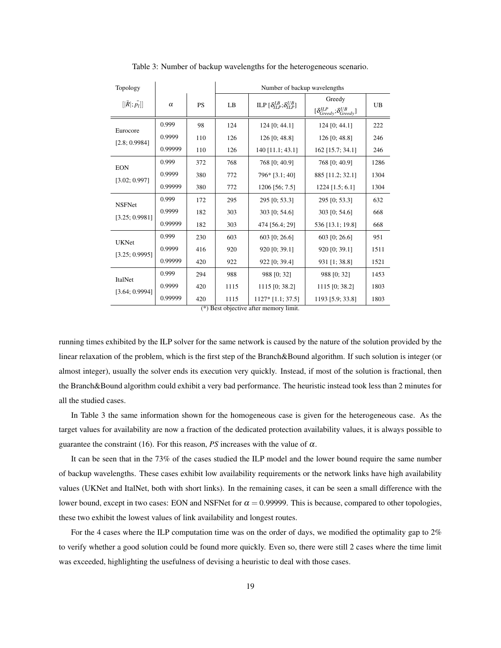| Topology                 | Number of backup wavelengths |           |      |                                                        |                                                           |      |  |
|--------------------------|------------------------------|-----------|------|--------------------------------------------------------|-----------------------------------------------------------|------|--|
| $[ \bar{R} ; \bar{p_l}]$ | $\alpha$                     | <b>PS</b> | LB   | ILP $\left[\delta_{ILP}^{LB};\delta_{ILP}^{UB}\right]$ | Greedy<br>$[\delta^{ILP}_{Greedy}; \delta^{UB}_{Greedy}]$ | UB   |  |
| Eurocore                 | 0.999                        | 98        | 124  | 124 [0; 44.1]                                          | $124$ [0; 44.1]                                           | 222  |  |
| [2.8; 0.9984]            | 0.9999                       | 110       | 126  | $126$ [0; 48.8]                                        | 126 [0; 48.8]                                             | 246  |  |
|                          | 0.99999                      | 110       | 126  | 140 [11.1; 43.1]                                       | 162 [15.7; 34.1]                                          | 246  |  |
| <b>EON</b>               | 0.999                        | 372       | 768  | 768 [0; 40.9]                                          | 768 [0; 40.9]                                             | 1286 |  |
| [3.02; 0.997]            | 0.9999                       | 380       | 772  | 796* [3.1; 40]                                         | 885 [11.2; 32.1]                                          | 1304 |  |
|                          | 0.99999                      | 380       | 772  | 1206 [56; 7.5]                                         | $1224$ [1.5; 6.1]                                         | 1304 |  |
| <b>NSFNet</b>            | 0.999                        | 172       | 295  | 295 [0; 53.3]                                          | 295 [0; 53.3]                                             | 632  |  |
| [3.25; 0.9981]           | 0.9999                       | 182       | 303  | 303 [0; 54.6]                                          | 303 [0; 54.6]                                             | 668  |  |
|                          | 0.99999                      | 182       | 303  | 474 [56.4; 29]                                         | 536 [13.1; 19.8]                                          | 668  |  |
| <b>UKNet</b>             | 0.999                        | 230       | 603  | 603 [0; 26.6]                                          | 603 [0; 26.6]                                             | 951  |  |
| [3.25; 0.9995]           | 0.9999                       | 416       | 920  | 920 [0; 39.1]                                          | 920 [0; 39.1]                                             | 1511 |  |
|                          | 0.99999                      | 420       | 922  | 922 [0; 39.4]                                          | 931 [1; 38.8]                                             | 1521 |  |
| ItalNet                  | 0.999                        | 294       | 988  | 988 [0:32]                                             | 988 [0; 32]                                               | 1453 |  |
| [3.64; 0.9994]           | 0.9999                       | 420       | 1115 | 1115 [0; 38.2]                                         | 1115 [0; 38.2]                                            | 1803 |  |
|                          | 0.99999                      | 420       | 1115 | $1127*$ [1.1; 37.5]                                    | 1193 [5.9; 33.8]                                          | 1803 |  |

Table 3: Number of backup wavelengths for the heterogeneous scenario.

(\*) Best objective after memory limit.

running times exhibited by the ILP solver for the same network is caused by the nature of the solution provided by the linear relaxation of the problem, which is the first step of the Branch&Bound algorithm. If such solution is integer (or almost integer), usually the solver ends its execution very quickly. Instead, if most of the solution is fractional, then the Branch&Bound algorithm could exhibit a very bad performance. The heuristic instead took less than 2 minutes for all the studied cases.

In Table 3 the same information shown for the homogeneous case is given for the heterogeneous case. As the target values for availability are now a fraction of the dedicated protection availability values, it is always possible to guarantee the constraint (16). For this reason, *PS* increases with the value of  $\alpha$ .

It can be seen that in the 73% of the cases studied the ILP model and the lower bound require the same number of backup wavelengths. These cases exhibit low availability requirements or the network links have high availability values (UKNet and ItalNet, both with short links). In the remaining cases, it can be seen a small difference with the lower bound, except in two cases: EON and NSFNet for  $\alpha = 0.99999$ . This is because, compared to other topologies, these two exhibit the lowest values of link availability and longest routes.

For the 4 cases where the ILP computation time was on the order of days, we modified the optimality gap to 2% to verify whether a good solution could be found more quickly. Even so, there were still 2 cases where the time limit was exceeded, highlighting the usefulness of devising a heuristic to deal with those cases.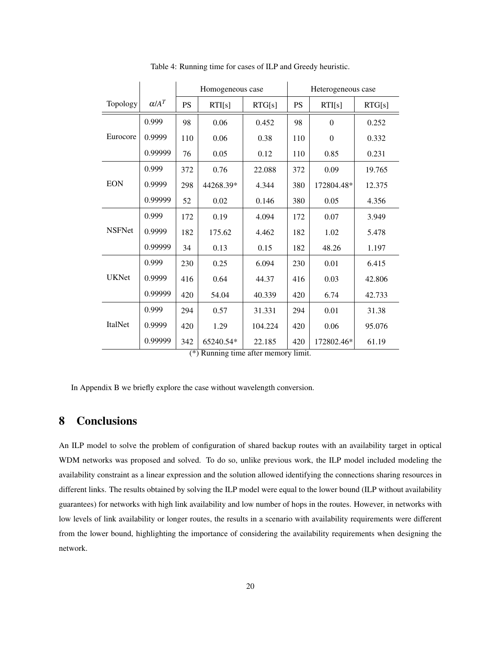|               |              |           | Homogeneous case |              | Heterogeneous case         |                  |        |
|---------------|--------------|-----------|------------------|--------------|----------------------------|------------------|--------|
| Topology      | $\alpha/A^T$ | <b>PS</b> | RTI[s]           | RTG[s]       | <b>PS</b>                  | RTI[s]           | RTG[s] |
|               | 0.999        | 98        | 0.06             | 0.452        | 98                         | $\theta$         | 0.252  |
| Eurocore      | 0.9999       | 110       | 0.06             | 0.38         | 110                        | $\boldsymbol{0}$ | 0.332  |
|               | 0.99999      | 76        | 0.05             | 0.12         | 110                        | 0.85             | 0.231  |
|               | 0.999        | 372       | 0.76             | 22.088       | 372                        | 0.09             | 19.765 |
| <b>EON</b>    | 0.9999       | 298       | 44268.39*        | 4.344        | 380                        | 172804.48*       | 12.375 |
|               | 0.99999      | 52        | 0.02             | 0.146        | 380                        | 0.05             | 4.356  |
|               | 0.999        | 172       | 0.19             | 4.094        | 172                        | 0.07             | 3.949  |
| <b>NSFNet</b> | 0.9999       | 182       | 175.62           | 4.462        | 182                        | 1.02             | 5.478  |
|               | 0.99999      | 34        | 0.13             | 0.15         | 182                        | 48.26            | 1.197  |
|               | 0.999        | 230       | 0.25             | 6.094        | 230                        | 0.01             | 6.415  |
| <b>UKNet</b>  | 0.9999       | 416       | 0.64             | 44.37        | 416                        | 0.03             | 42.806 |
|               | 0.99999      | 420       | 54.04            | 40.339       | 420                        | 6.74             | 42.733 |
|               | 0.999        | 294       | 0.57             | 31.331       | 294                        | 0.01             | 31.38  |
| ItalNet       | 0.9999       | 420       | 1.29             | 104.224      | 420                        | 0.06             | 95.076 |
|               | 0.99999      | 342       | 65240.54*<br>r   | 22.185<br>c. | 420<br>$\overline{\cdots}$ | 172802.46*       | 61.19  |

Table 4: Running time for cases of ILP and Greedy heuristic.

(\*) Running time after memory limit.

In Appendix B we briefly explore the case without wavelength conversion.

# 8 Conclusions

An ILP model to solve the problem of configuration of shared backup routes with an availability target in optical WDM networks was proposed and solved. To do so, unlike previous work, the ILP model included modeling the availability constraint as a linear expression and the solution allowed identifying the connections sharing resources in different links. The results obtained by solving the ILP model were equal to the lower bound (ILP without availability guarantees) for networks with high link availability and low number of hops in the routes. However, in networks with low levels of link availability or longer routes, the results in a scenario with availability requirements were different from the lower bound, highlighting the importance of considering the availability requirements when designing the network.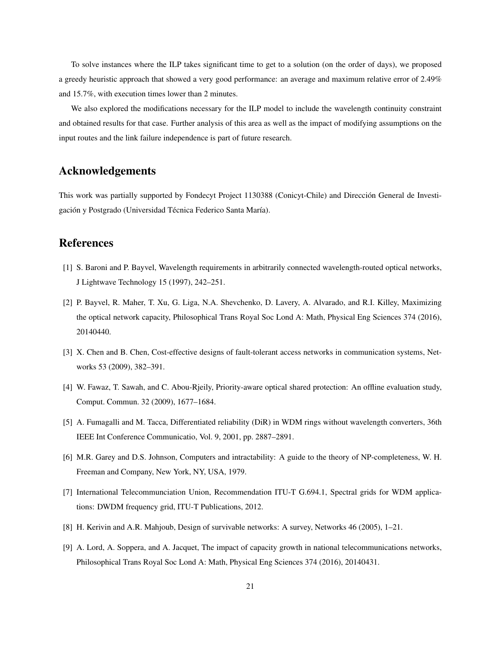To solve instances where the ILP takes significant time to get to a solution (on the order of days), we proposed a greedy heuristic approach that showed a very good performance: an average and maximum relative error of 2.49% and 15.7%, with execution times lower than 2 minutes.

We also explored the modifications necessary for the ILP model to include the wavelength continuity constraint and obtained results for that case. Further analysis of this area as well as the impact of modifying assumptions on the input routes and the link failure independence is part of future research.

### Acknowledgements

This work was partially supported by Fondecyt Project 1130388 (Conicyt-Chile) and Direccion General de Investi- ´ gación y Postgrado (Universidad Técnica Federico Santa María).

# References

- [1] S. Baroni and P. Bayvel, Wavelength requirements in arbitrarily connected wavelength-routed optical networks, J Lightwave Technology 15 (1997), 242–251.
- [2] P. Bayvel, R. Maher, T. Xu, G. Liga, N.A. Shevchenko, D. Lavery, A. Alvarado, and R.I. Killey, Maximizing the optical network capacity, Philosophical Trans Royal Soc Lond A: Math, Physical Eng Sciences 374 (2016), 20140440.
- [3] X. Chen and B. Chen, Cost-effective designs of fault-tolerant access networks in communication systems, Networks 53 (2009), 382–391.
- [4] W. Fawaz, T. Sawah, and C. Abou-Rjeily, Priority-aware optical shared protection: An offline evaluation study, Comput. Commun. 32 (2009), 1677–1684.
- [5] A. Fumagalli and M. Tacca, Differentiated reliability (DiR) in WDM rings without wavelength converters, 36th IEEE Int Conference Communicatio, Vol. 9, 2001, pp. 2887–2891.
- [6] M.R. Garey and D.S. Johnson, Computers and intractability: A guide to the theory of NP-completeness, W. H. Freeman and Company, New York, NY, USA, 1979.
- [7] International Telecommunciation Union, Recommendation ITU-T G.694.1, Spectral grids for WDM applications: DWDM frequency grid, ITU-T Publications, 2012.
- [8] H. Kerivin and A.R. Mahjoub, Design of survivable networks: A survey, Networks 46 (2005), 1–21.
- [9] A. Lord, A. Soppera, and A. Jacquet, The impact of capacity growth in national telecommunications networks, Philosophical Trans Royal Soc Lond A: Math, Physical Eng Sciences 374 (2016), 20140431.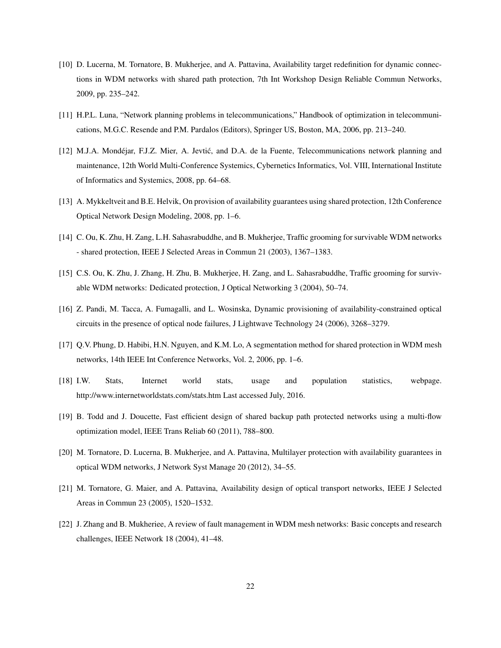- [10] D. Lucerna, M. Tornatore, B. Mukherjee, and A. Pattavina, Availability target redefinition for dynamic connections in WDM networks with shared path protection, 7th Int Workshop Design Reliable Commun Networks, 2009, pp. 235–242.
- [11] H.P.L. Luna, "Network planning problems in telecommunications," Handbook of optimization in telecommunications, M.G.C. Resende and P.M. Pardalos (Editors), Springer US, Boston, MA, 2006, pp. 213–240.
- [12] M.J.A. Mondéjar, F.J.Z. Mier, A. Jevtić, and D.A. de la Fuente, Telecommunications network planning and maintenance, 12th World Multi-Conference Systemics, Cybernetics Informatics, Vol. VIII, International Institute of Informatics and Systemics, 2008, pp. 64–68.
- [13] A. Mykkeltveit and B.E. Helvik, On provision of availability guarantees using shared protection, 12th Conference Optical Network Design Modeling, 2008, pp. 1–6.
- [14] C. Ou, K. Zhu, H. Zang, L.H. Sahasrabuddhe, and B. Mukherjee, Traffic grooming for survivable WDM networks - shared protection, IEEE J Selected Areas in Commun 21 (2003), 1367–1383.
- [15] C.S. Ou, K. Zhu, J. Zhang, H. Zhu, B. Mukherjee, H. Zang, and L. Sahasrabuddhe, Traffic grooming for survivable WDM networks: Dedicated protection, J Optical Networking 3 (2004), 50–74.
- [16] Z. Pandi, M. Tacca, A. Fumagalli, and L. Wosinska, Dynamic provisioning of availability-constrained optical circuits in the presence of optical node failures, J Lightwave Technology 24 (2006), 3268–3279.
- [17] Q.V. Phung, D. Habibi, H.N. Nguyen, and K.M. Lo, A segmentation method for shared protection in WDM mesh networks, 14th IEEE Int Conference Networks, Vol. 2, 2006, pp. 1–6.
- [18] I.W. Stats, Internet world stats, usage and population statistics, webpage. http://www.internetworldstats.com/stats.htm Last accessed July, 2016.
- [19] B. Todd and J. Doucette, Fast efficient design of shared backup path protected networks using a multi-flow optimization model, IEEE Trans Reliab 60 (2011), 788–800.
- [20] M. Tornatore, D. Lucerna, B. Mukherjee, and A. Pattavina, Multilayer protection with availability guarantees in optical WDM networks, J Network Syst Manage 20 (2012), 34–55.
- [21] M. Tornatore, G. Maier, and A. Pattavina, Availability design of optical transport networks, IEEE J Selected Areas in Commun 23 (2005), 1520–1532.
- [22] J. Zhang and B. Mukheriee, A review of fault management in WDM mesh networks: Basic concepts and research challenges, IEEE Network 18 (2004), 41–48.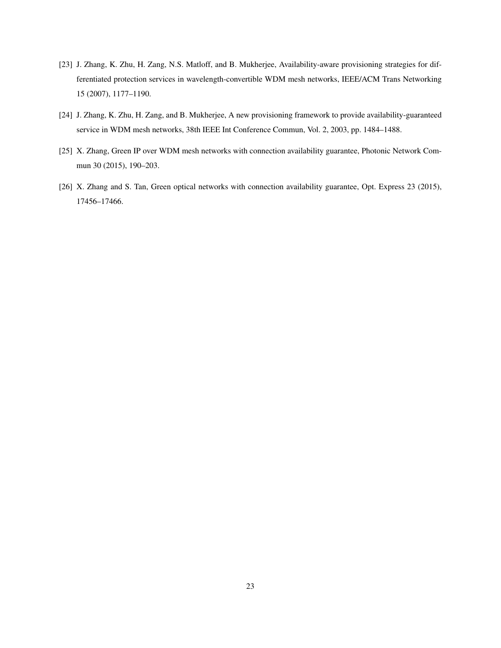- [23] J. Zhang, K. Zhu, H. Zang, N.S. Matloff, and B. Mukherjee, Availability-aware provisioning strategies for differentiated protection services in wavelength-convertible WDM mesh networks, IEEE/ACM Trans Networking 15 (2007), 1177–1190.
- [24] J. Zhang, K. Zhu, H. Zang, and B. Mukherjee, A new provisioning framework to provide availability-guaranteed service in WDM mesh networks, 38th IEEE Int Conference Commun, Vol. 2, 2003, pp. 1484–1488.
- [25] X. Zhang, Green IP over WDM mesh networks with connection availability guarantee, Photonic Network Commun 30 (2015), 190–203.
- [26] X. Zhang and S. Tan, Green optical networks with connection availability guarantee, Opt. Express 23 (2015), 17456–17466.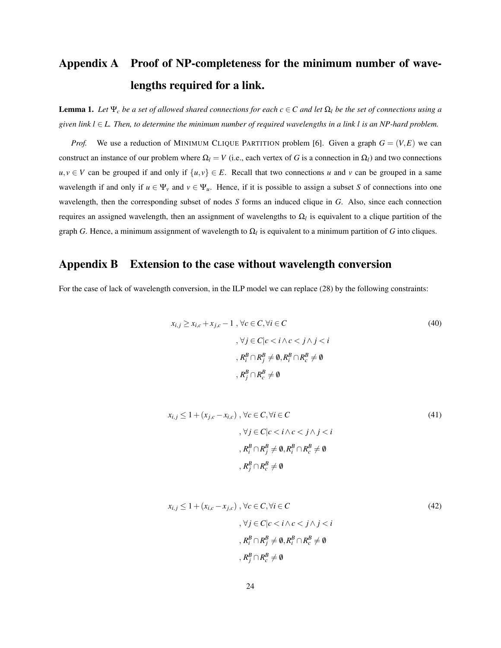# Appendix A Proof of NP-completeness for the minimum number of wavelengths required for a link.

**Lemma 1.** Let  $\Psi_c$  be a set of allowed shared connections for each  $c \in C$  and let  $\Omega_l$  be the set of connections using a *given link l* ∈ *L. Then, to determine the minimum number of required wavelengths in a link l is an NP-hard problem.*

*Prof.* We use a reduction of MINIMUM CLIQUE PARTITION problem [6]. Given a graph  $G = (V, E)$  we can construct an instance of our problem where  $\Omega_l = V$  (i.e., each vertex of *G* is a connection in  $\Omega_l$ ) and two connections  $u, v \in V$  can be grouped if and only if  $\{u, v\} \in E$ . Recall that two connections *u* and *v* can be grouped in a same wavelength if and only if  $u \in \Psi_v$  and  $v \in \Psi_u$ . Hence, if it is possible to assign a subset *S* of connections into one wavelength, then the corresponding subset of nodes *S* forms an induced clique in *G*. Also, since each connection requires an assigned wavelength, then an assignment of wavelengths to  $\Omega_l$  is equivalent to a clique partition of the graph *G*. Hence, a minimum assignment of wavelength to Ω*<sup>l</sup>* is equivalent to a minimum partition of *G* into cliques.

# Appendix B Extension to the case without wavelength conversion

For the case of lack of wavelength conversion, in the ILP model we can replace (28) by the following constraints:

$$
x_{i,j} \ge x_{i,c} + x_{j,c} - 1, \forall c \in C, \forall i \in C
$$
  

$$
\forall j \in C | c < i \land c < j \land j < i
$$
  

$$
\forall R_i^B \cap R_j^B \neq \emptyset, R_i^B \cap R_c^B \neq \emptyset
$$
  

$$
\forall R_i^B \cap R_i^B \neq \emptyset, R_i^B \cap R_c^B \neq \emptyset
$$
  

$$
\forall R_i^B \cap R_c^B \neq \emptyset
$$

$$
x_{i,j} \le 1 + (x_{j,c} - x_{i,c}) \,, \forall c \in C, \forall i \in C
$$
  

$$
\forall j \in C | c < i \land c < j \land j < i
$$
  

$$
\forall R_i^B \cap R_j^B \ne \emptyset, R_i^B \cap R_c^B \ne \emptyset
$$
  

$$
\forall R_i^B \cap R_j^B \ne \emptyset, R_i^B \cap R_c^B \ne \emptyset
$$
  

$$
\forall R_i^B \cap R_c^B \ne \emptyset
$$
  

$$
(41)
$$

$$
x_{i,j} \le 1 + (x_{i,c} - x_{j,c}), \forall c \in C, \forall i \in C
$$
  

$$
\forall j \in C | c < i \land c < j \land j < i
$$
  

$$
\forall R_i^B \cap R_j^B \ne \emptyset, R_i^B \cap R_c^B \ne \emptyset
$$
  

$$
\forall R_i^B \cap R_i^B \ne \emptyset, R_i^B \cap R_c^B \ne \emptyset
$$
  

$$
\forall R_i^B \cap R_c^B \ne \emptyset
$$
  

$$
(42)
$$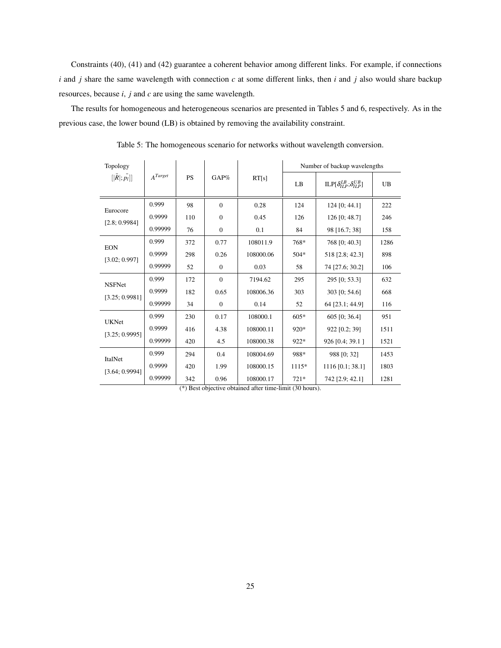Constraints (40), (41) and (42) guarantee a coherent behavior among different links. For example, if connections *i* and *j* share the same wavelength with connection *c* at some different links, then *i* and *j* also would share backup resources, because *i*, *j* and *c* are using the same wavelength.

The results for homogeneous and heterogeneous scenarios are presented in Tables 5 and 6, respectively. As in the previous case, the lower bound (LB) is obtained by removing the availability constraint.

| Topology                 | $A^{Target}$ |           | GAP%           | RT[s]     | Number of backup wavelengths |                                               |      |  |
|--------------------------|--------------|-----------|----------------|-----------|------------------------------|-----------------------------------------------|------|--|
| $[ \bar{R} ; \bar{p_l}]$ |              | <b>PS</b> |                |           | LB                           | ILP[ $\delta_{ILP}^{LB}; \delta_{ILP}^{UB}$ ] | UB   |  |
| Eurocore                 | 0.999        | 98        | $\Omega$       | 0.28      | 124                          | 124 [0; 44.1]                                 | 222  |  |
| [2.8; 0.9984]            | 0.9999       | 110       | $\mathbf{0}$   | 0.45      | 126                          | 126 [0; 48.7]                                 | 246  |  |
|                          | 0.99999      | 76        | $\theta$       | 0.1       | 84                           | 98 [16.7; 38]                                 | 158  |  |
| <b>EON</b>               | 0.999        | 372       | 0.77           | 108011.9  | 768*                         | 768 [0; 40.3]                                 | 1286 |  |
| [3.02; 0.997]            | 0.9999       | 298       | 0.26           | 108000.06 | 504*                         | 518 [2.8; 42.3]                               | 898  |  |
|                          | 0.99999      | 52        | $\overline{0}$ | 0.03      | 58                           | 74 [27.6; 30.2]                               | 106  |  |
| <b>NSFNet</b>            | 0.999        | 172       | $\theta$       | 7194.62   | 295                          | 295 [0; 53.3]                                 | 632  |  |
| [3.25; 0.9981]           | 0.9999       | 182       | 0.65           | 108006.36 | 303                          | 303 [0; 54.6]                                 | 668  |  |
|                          | 0.99999      | 34        | $\mathbf{0}$   | 0.14      | 52                           | 64 [23.1; 44.9]                               | 116  |  |
| <b>UKNet</b>             | 0.999        | 230       | 0.17           | 108000.1  | $605*$                       | 605 [0; 36.4]                                 | 951  |  |
| [3.25; 0.9995]           | 0.9999       | 416       | 4.38           | 108000.11 | 920*                         | 922 [0.2; 39]                                 | 1511 |  |
|                          | 0.99999      | 420       | 4.5            | 108000.38 | $922*$                       | 926 [0.4; 39.1]                               | 1521 |  |
| ItalNet                  | 0.999        | 294       | 0.4            | 108004.69 | 988*                         | 988 [0; 32]                                   | 1453 |  |
| [3.64; 0.9994]           | 0.9999       | 420       | 1.99           | 108000.15 | $1115*$                      | 1116 [0.1; 38.1]                              | 1803 |  |
|                          | 0.99999      | 342       | 0.96           | 108000.17 | $721*$                       | 742 [2.9; 42.1]                               | 1281 |  |

Table 5: The homogeneous scenario for networks without wavelength conversion.

(\*) Best objective obtained after time-limit (30 hours).